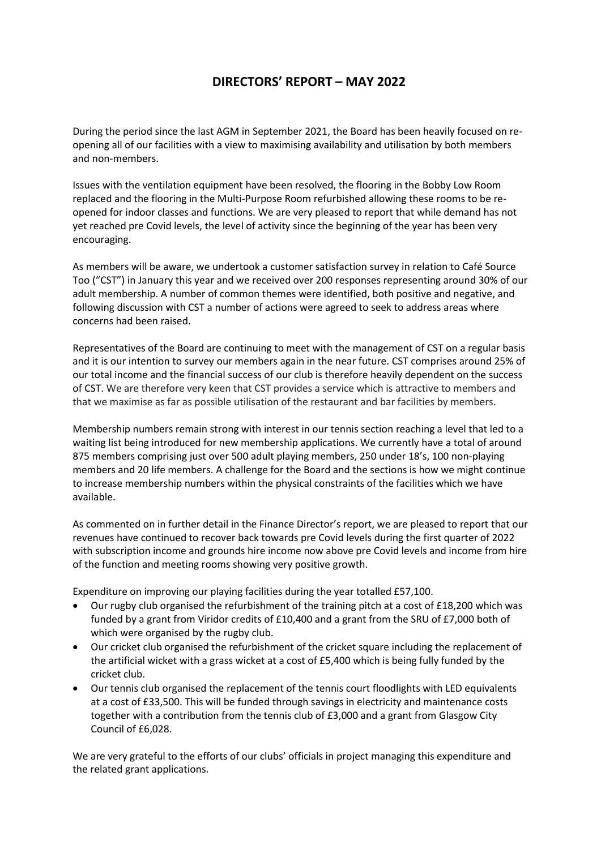## **DIRECTORS' REPORT – MAY 2022**

During the period since the last AGM in September 2021, the Board has been heavily focused on reopening all of our facilities with a view to maximising availability and utilisation by both members and non-members.

Issues with the ventilation equipment have been resolved, the flooring in the Bobby Low Room replaced and the flooring in the Multi-Purpose Room refurbished allowing these rooms to be reopened for indoor classes and functions. We are very pleased to report that while demand has not yet reached pre Covid levels, the level of activity since the beginning of the year has been very encouraging.

As members will be aware, we undertook a customer satisfaction survey in relation to Café Source Too ("CST") in January this year and we received over 200 responses representing around 30% of our adult membership. A number of common themes were identified, both positive and negative, and following discussion with CST a number of actions were agreed to seek to address areas where concerns had been raised.

Representatives of the Board are continuing to meet with the management of CST on a regular basis and it is our intention to survey our members again in the near future. CST comprises around 25% of our total income and the financial success of our club is therefore heavily dependent on the success of CST. We are therefore very keen that CST provides a service which is attractive to members and that we maximise as far as possible utilisation of the restaurant and bar facilities by members.

Membership numbers remain strong with interest in our tennis section reaching a level that led to a waiting list being introduced for new membership applications. We currently have a total of around 875 members comprising just over 500 adult playing members, 250 under 18's, 100 non-playing members and 20 life members. A challenge for the Board and the sections is how we might continue to increase membership numbers within the physical constraints of the facilities which we have available.

As commented on in further detail in the Finance Director's report, we are pleased to report that our revenues have continued to recover back towards pre Covid levels during the first quarter of 2022 with subscription income and grounds hire income now above pre Covid levels and income from hire of the function and meeting rooms showing very positive growth.

Expenditure on improving our playing facilities during the year totalled £57,100.

- Our rugby club organised the refurbishment of the training pitch at a cost of £18,200 which was funded by a grant from Viridor credits of £10,400 and a grant from the SRU of £7,000 both of which were organised by the rugby club.
- Our cricket club organised the refurbishment of the cricket square including the replacement of the artificial wicket with a grass wicket at a cost of £5,400 which is being fully funded by the cricket club.
- Our tennis club organised the replacement of the tennis court floodlights with LED equivalents at a cost of £33,500. This will be funded through savings in electricity and maintenance costs together with a contribution from the tennis club of £3,000 and a grant from Glasgow City Council of £6,028.

We are very grateful to the efforts of our clubs' officials in project managing this expenditure and the related grant applications.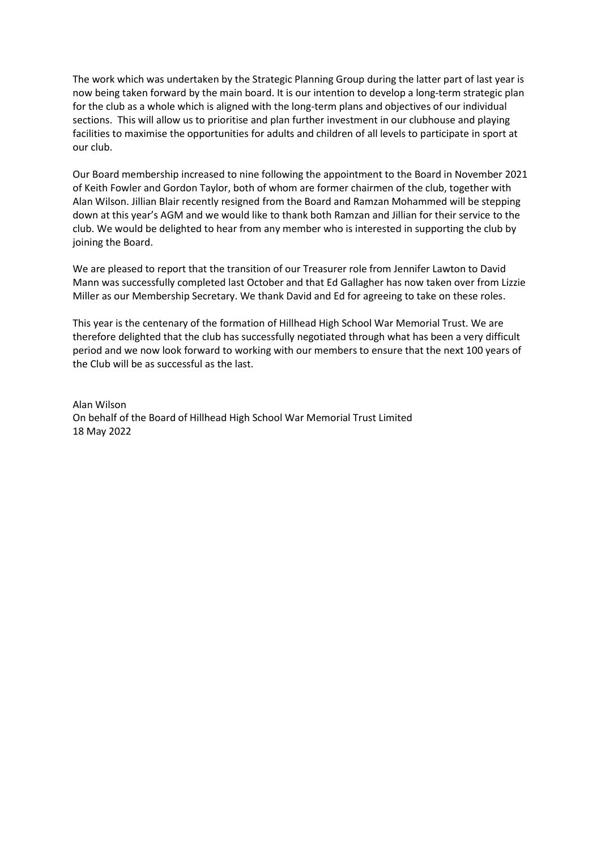The work which was undertaken by the Strategic Planning Group during the latter part of last year is now being taken forward by the main board. It is our intention to develop a long-term strategic plan for the club as a whole which is aligned with the long-term plans and objectives of our individual sections. This will allow us to prioritise and plan further investment in our clubhouse and playing facilities to maximise the opportunities for adults and children of all levels to participate in sport at our club.

Our Board membership increased to nine following the appointment to the Board in November 2021 of Keith Fowler and Gordon Taylor, both of whom are former chairmen of the club, together with Alan Wilson. Jillian Blair recently resigned from the Board and Ramzan Mohammed will be stepping down at this year's AGM and we would like to thank both Ramzan and Jillian for their service to the club. We would be delighted to hear from any member who is interested in supporting the club by joining the Board.

We are pleased to report that the transition of our Treasurer role from Jennifer Lawton to David Mann was successfully completed last October and that Ed Gallagher has now taken over from Lizzie Miller as our Membership Secretary. We thank David and Ed for agreeing to take on these roles.

This year is the centenary of the formation of Hillhead High School War Memorial Trust. We are therefore delighted that the club has successfully negotiated through what has been a very difficult period and we now look forward to working with our members to ensure that the next 100 years of the Club will be as successful as the last.

Alan Wilson On behalf of the Board of Hillhead High School War Memorial Trust Limited 18 May 2022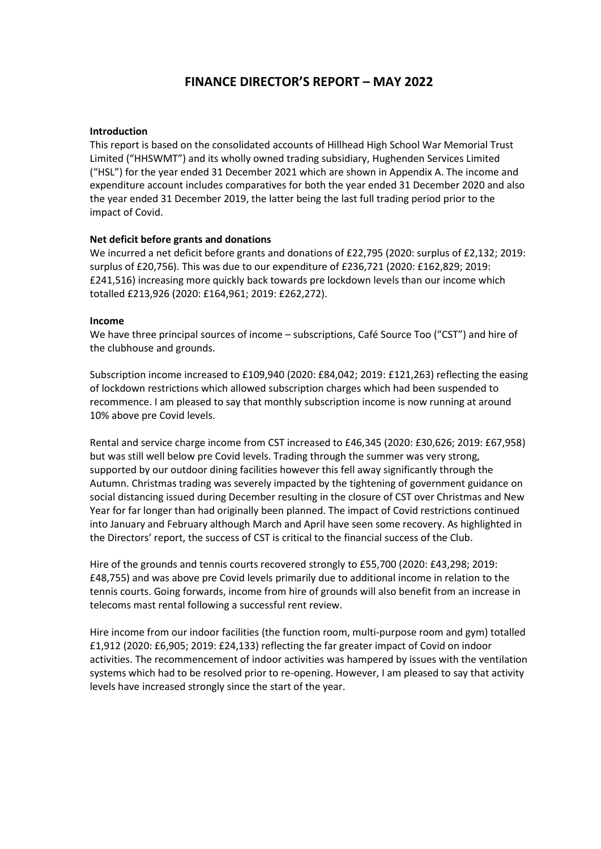## **FINANCE DIRECTOR'S REPORT – MAY 2022**

#### **Introduction**

This report is based on the consolidated accounts of Hillhead High School War Memorial Trust Limited ("HHSWMT") and its wholly owned trading subsidiary, Hughenden Services Limited ("HSL") for the year ended 31 December 2021 which are shown in Appendix A. The income and expenditure account includes comparatives for both the year ended 31 December 2020 and also the year ended 31 December 2019, the latter being the last full trading period prior to the impact of Covid.

#### **Net deficit before grants and donations**

We incurred a net deficit before grants and donations of £22,795 (2020: surplus of £2,132; 2019: surplus of £20,756). This was due to our expenditure of £236,721 (2020: £162,829; 2019: £241,516) increasing more quickly back towards pre lockdown levels than our income which totalled £213,926 (2020: £164,961; 2019: £262,272).

#### **Income**

We have three principal sources of income – subscriptions, Café Source Too ("CST") and hire of the clubhouse and grounds.

Subscription income increased to £109,940 (2020: £84,042; 2019: £121,263) reflecting the easing of lockdown restrictions which allowed subscription charges which had been suspended to recommence. I am pleased to say that monthly subscription income is now running at around 10% above pre Covid levels.

Rental and service charge income from CST increased to £46,345 (2020: £30,626; 2019: £67,958) but was still well below pre Covid levels. Trading through the summer was very strong, supported by our outdoor dining facilities however this fell away significantly through the Autumn. Christmas trading was severely impacted by the tightening of government guidance on social distancing issued during December resulting in the closure of CST over Christmas and New Year for far longer than had originally been planned. The impact of Covid restrictions continued into January and February although March and April have seen some recovery. As highlighted in the Directors' report, the success of CST is critical to the financial success of the Club.

Hire of the grounds and tennis courts recovered strongly to £55,700 (2020: £43,298; 2019: £48,755) and was above pre Covid levels primarily due to additional income in relation to the tennis courts. Going forwards, income from hire of grounds will also benefit from an increase in telecoms mast rental following a successful rent review.

Hire income from our indoor facilities (the function room, multi-purpose room and gym) totalled £1,912 (2020: £6,905; 2019: £24,133) reflecting the far greater impact of Covid on indoor activities. The recommencement of indoor activities was hampered by issues with the ventilation systems which had to be resolved prior to re-opening. However, I am pleased to say that activity levels have increased strongly since the start of the year.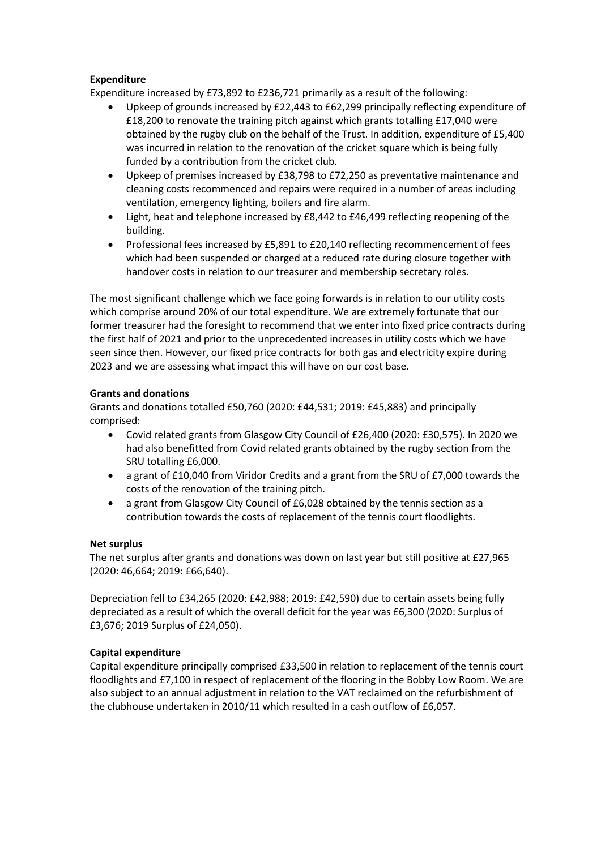### **Expenditure**

Expenditure increased by £73,892 to £236,721 primarily as a result of the following:

- Upkeep of grounds increased by £22,443 to £62,299 principally reflecting expenditure of £18,200 to renovate the training pitch against which grants totalling £17,040 were obtained by the rugby club on the behalf of the Trust. In addition, expenditure of £5,400 was incurred in relation to the renovation of the cricket square which is being fully funded by a contribution from the cricket club.
- Upkeep of premises increased by £38,798 to £72,250 as preventative maintenance and cleaning costs recommenced and repairs were required in a number of areas including ventilation, emergency lighting, boilers and fire alarm.
- Light, heat and telephone increased by £8,442 to £46,499 reflecting reopening of the building.
- Professional fees increased by £5,891 to £20,140 reflecting recommencement of fees which had been suspended or charged at a reduced rate during closure together with handover costs in relation to our treasurer and membership secretary roles.

The most significant challenge which we face going forwards is in relation to our utility costs which comprise around 20% of our total expenditure. We are extremely fortunate that our former treasurer had the foresight to recommend that we enter into fixed price contracts during the first half of 2021 and prior to the unprecedented increases in utility costs which we have seen since then. However, our fixed price contracts for both gas and electricity expire during 2023 and we are assessing what impact this will have on our cost base.

### **Grants and donations**

Grants and donations totalled £50,760 (2020: £44,531; 2019: £45,883) and principally comprised:

- Covid related grants from Glasgow City Council of £26,400 (2020: £30,575). In 2020 we had also benefitted from Covid related grants obtained by the rugby section from the SRU totalling £6,000.
- a grant of £10,040 from Viridor Credits and a grant from the SRU of £7,000 towards the costs of the renovation of the training pitch.
- a grant from Glasgow City Council of £6,028 obtained by the tennis section as a contribution towards the costs of replacement of the tennis court floodlights.

#### **Net surplus**

The net surplus after grants and donations was down on last year but still positive at £27,965 (2020: 46,664; 2019: £66,640).

Depreciation fell to £34,265 (2020: £42,988; 2019: £42,590) due to certain assets being fully depreciated as a result of which the overall deficit for the year was £6,300 (2020: Surplus of £3,676; 2019 Surplus of £24,050).

### **Capital expenditure**

Capital expenditure principally comprised £33,500 in relation to replacement of the tennis court floodlights and £7,100 in respect of replacement of the flooring in the Bobby Low Room. We are also subject to an annual adjustment in relation to the VAT reclaimed on the refurbishment of the clubhouse undertaken in 2010/11 which resulted in a cash outflow of £6,057.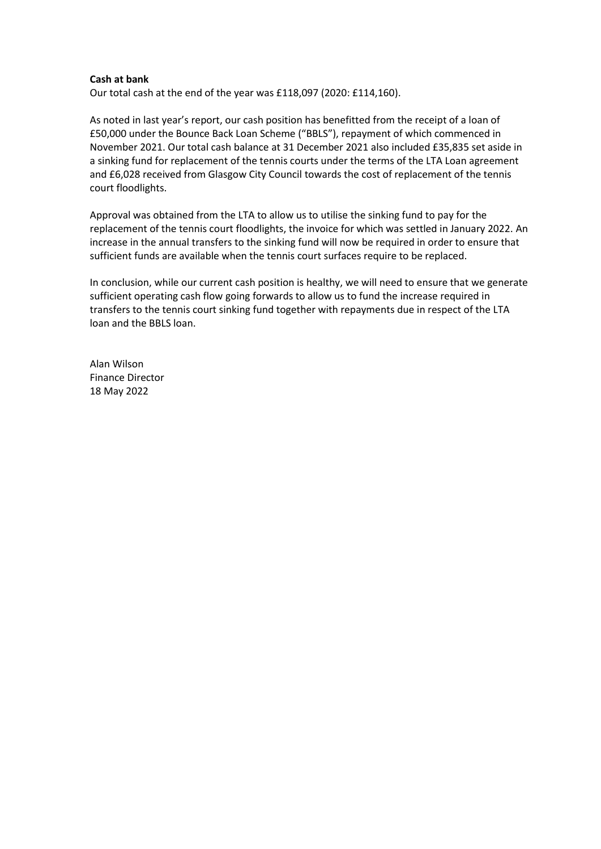#### **Cash at bank**

Our total cash at the end of the year was £118,097 (2020: £114,160).

As noted in last year's report, our cash position has benefitted from the receipt of a loan of £50,000 under the Bounce Back Loan Scheme ("BBLS"), repayment of which commenced in November 2021. Our total cash balance at 31 December 2021 also included £35,835 set aside in a sinking fund for replacement of the tennis courts under the terms of the LTA Loan agreement and £6,028 received from Glasgow City Council towards the cost of replacement of the tennis court floodlights.

Approval was obtained from the LTA to allow us to utilise the sinking fund to pay for the replacement of the tennis court floodlights, the invoice for which was settled in January 2022. An increase in the annual transfers to the sinking fund will now be required in order to ensure that sufficient funds are available when the tennis court surfaces require to be replaced.

In conclusion, while our current cash position is healthy, we will need to ensure that we generate sufficient operating cash flow going forwards to allow us to fund the increase required in transfers to the tennis court sinking fund together with repayments due in respect of the LTA loan and the BBLS loan.

Alan Wilson Finance Director 18 May 2022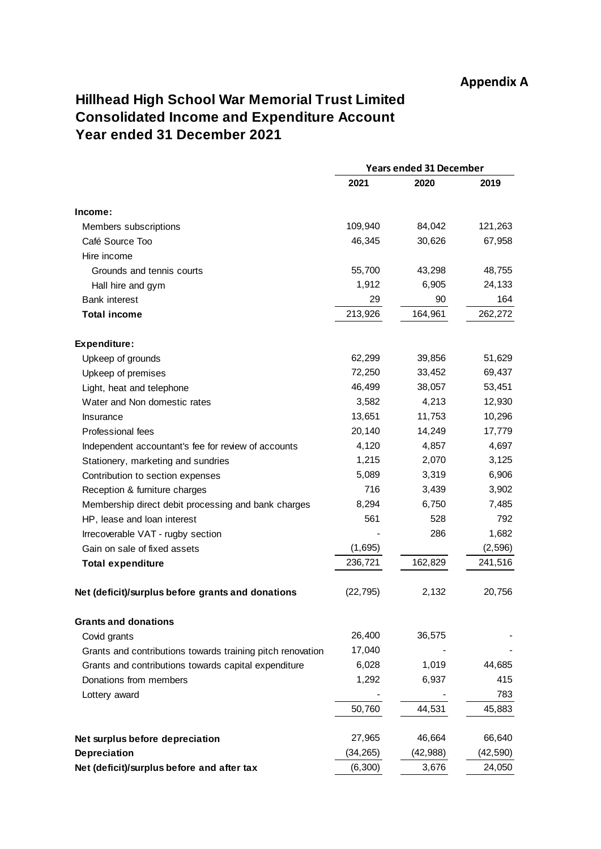# **Hillhead High School War Memorial Trust Limited Consolidated Income and Expenditure Account Year ended 31 December 2021**

|                                                            |           | <b>Years ended 31 December</b> |           |  |
|------------------------------------------------------------|-----------|--------------------------------|-----------|--|
|                                                            | 2021      | 2020                           | 2019      |  |
| Income:                                                    |           |                                |           |  |
| Members subscriptions                                      | 109,940   | 84,042                         | 121,263   |  |
| Café Source Too                                            | 46,345    | 30,626                         | 67,958    |  |
| Hire income                                                |           |                                |           |  |
| Grounds and tennis courts                                  | 55,700    | 43,298                         | 48,755    |  |
| Hall hire and gym                                          | 1,912     | 6,905                          | 24,133    |  |
| <b>Bank interest</b>                                       | 29        | 90                             | 164       |  |
| <b>Total income</b>                                        | 213,926   | 164,961                        | 262,272   |  |
| Expenditure:                                               |           |                                |           |  |
| Upkeep of grounds                                          | 62,299    | 39,856                         | 51,629    |  |
| Upkeep of premises                                         | 72,250    | 33,452                         | 69,437    |  |
| Light, heat and telephone                                  | 46,499    | 38,057                         | 53,451    |  |
| Water and Non domestic rates                               | 3,582     | 4,213                          | 12,930    |  |
| Insurance                                                  | 13,651    | 11,753                         | 10,296    |  |
| Professional fees                                          | 20,140    | 14,249                         | 17,779    |  |
| Independent accountant's fee for review of accounts        | 4,120     | 4,857                          | 4,697     |  |
| Stationery, marketing and sundries                         | 1,215     | 2,070                          | 3,125     |  |
| Contribution to section expenses                           | 5,089     | 3,319                          | 6,906     |  |
| Reception & furniture charges                              | 716       | 3,439                          | 3,902     |  |
| Membership direct debit processing and bank charges        | 8,294     | 6,750                          | 7,485     |  |
| HP, lease and loan interest                                | 561       | 528                            | 792       |  |
| Irrecoverable VAT - rugby section                          |           | 286                            | 1,682     |  |
| Gain on sale of fixed assets                               | (1,695)   |                                | (2, 596)  |  |
| <b>Total expenditure</b>                                   | 236,721   | 162,829                        | 241,516   |  |
| Net (deficit)/surplus before grants and donations          | (22,795)  | 2,132                          | 20,756    |  |
| <b>Grants and donations</b>                                |           |                                |           |  |
| Covid grants                                               | 26,400    | 36,575                         |           |  |
| Grants and contributions towards training pitch renovation | 17,040    |                                |           |  |
| Grants and contributions towards capital expenditure       | 6,028     | 1,019                          | 44,685    |  |
| Donations from members                                     | 1,292     | 6,937                          | 415       |  |
| Lottery award                                              |           |                                | 783       |  |
|                                                            | 50,760    | 44,531                         | 45,883    |  |
| Net surplus before depreciation                            | 27,965    | 46,664                         | 66,640    |  |
| <b>Depreciation</b>                                        | (34, 265) | (42, 988)                      | (42, 590) |  |
| Net (deficit)/surplus before and after tax                 | (6,300)   | 3,676                          | 24,050    |  |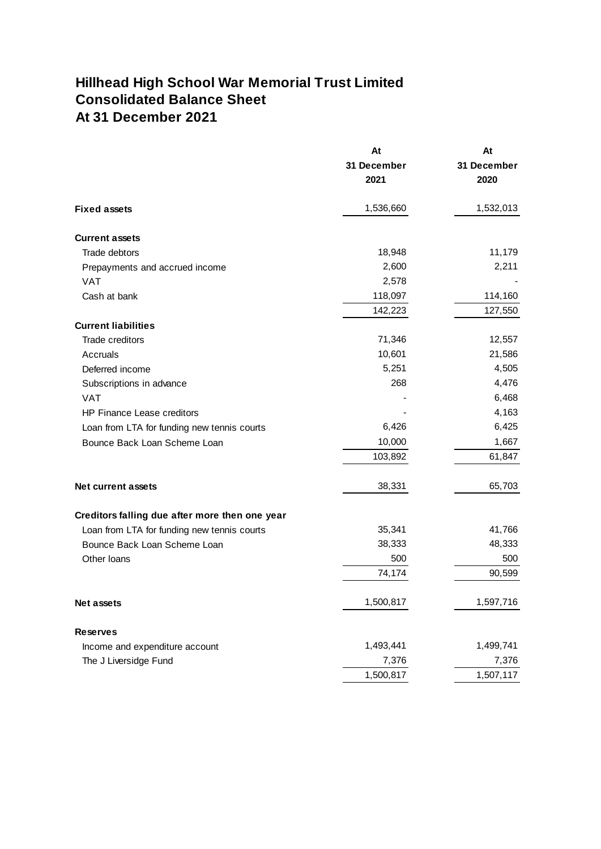# **Hillhead High School War Memorial Trust Limited Consolidated Balance Sheet At 31 December 2021**

|                                                | At          | At          |
|------------------------------------------------|-------------|-------------|
|                                                | 31 December | 31 December |
|                                                | 2021        | 2020        |
| <b>Fixed assets</b>                            | 1,536,660   | 1,532,013   |
| <b>Current assets</b>                          |             |             |
| Trade debtors                                  | 18,948      | 11,179      |
| Prepayments and accrued income                 | 2,600       | 2,211       |
| <b>VAT</b>                                     | 2,578       |             |
| Cash at bank                                   | 118,097     | 114,160     |
|                                                | 142,223     | 127,550     |
| <b>Current liabilities</b>                     |             |             |
| Trade creditors                                | 71,346      | 12,557      |
| Accruals                                       | 10,601      | 21,586      |
| Deferred income                                | 5,251       | 4,505       |
| Subscriptions in advance                       | 268         | 4,476       |
| <b>VAT</b>                                     |             | 6,468       |
| HP Finance Lease creditors                     |             | 4,163       |
| Loan from LTA for funding new tennis courts    | 6,426       | 6,425       |
| Bounce Back Loan Scheme Loan                   | 10,000      | 1,667       |
|                                                | 103,892     | 61,847      |
| <b>Net current assets</b>                      | 38,331      | 65,703      |
| Creditors falling due after more then one year |             |             |
| Loan from LTA for funding new tennis courts    | 35,341      | 41,766      |
| Bounce Back Loan Scheme Loan                   | 38,333      | 48,333      |
| Other Ioans                                    | 500         | 500         |
|                                                | 74,174      | 90,599      |
| Net assets                                     | 1,500,817   | 1,597,716   |
| <b>Reserves</b>                                |             |             |
| Income and expenditure account                 | 1,493,441   | 1,499,741   |
| The J Liversidge Fund                          | 7,376       | 7,376       |
|                                                | 1,500,817   | 1,507,117   |